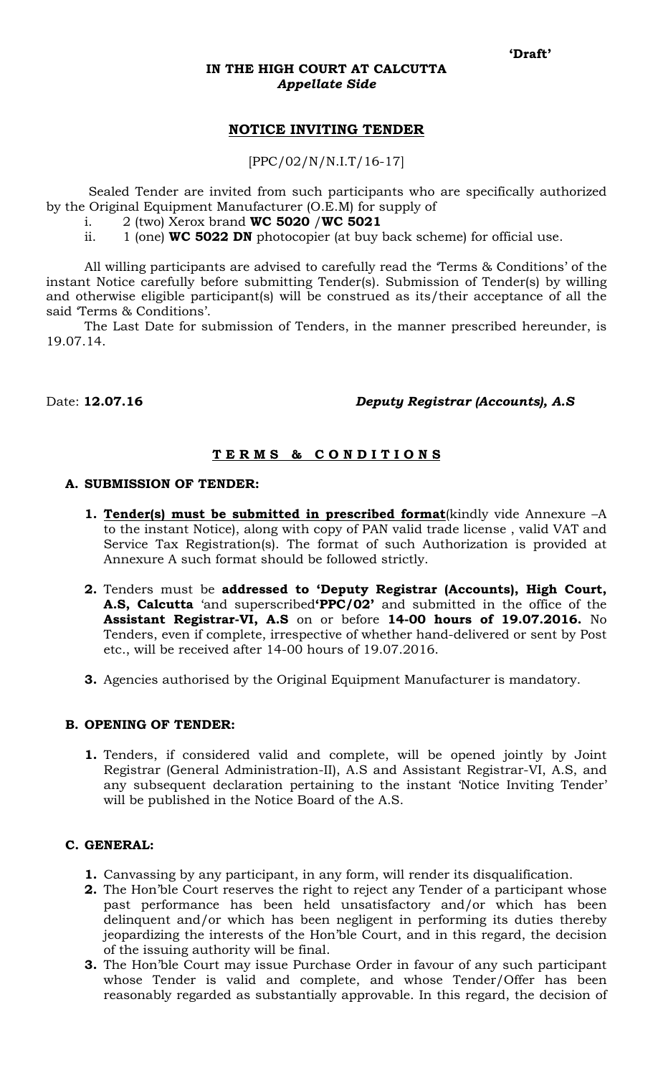#### **IN THE HIGH COURT AT CALCUTTA**  *Appellate Side*

## **NOTICE INVITING TENDER**

[PPC/02/N/N.I.T/16-17]

 Sealed Tender are invited from such participants who are specifically authorized by the Original Equipment Manufacturer (O.E.M) for supply of

- i. 2 (two) Xerox brand **WC 5020** /**WC 5021**
- ii. 1 (one) **WC 5022 DN** photocopier (at buy back scheme) for official use.

All willing participants are advised to carefully read the 'Terms & Conditions' of the instant Notice carefully before submitting Tender(s). Submission of Tender(s) by willing and otherwise eligible participant(s) will be construed as its/their acceptance of all the said 'Terms & Conditions'.

The Last Date for submission of Tenders, in the manner prescribed hereunder, is 19.07.14.

## Date: **12.07.16** *Deputy Registrar (Accounts), A.S*

## **T E R M S & C O N D I T I O N S**

#### **A. SUBMISSION OF TENDER:**

- **1. Tender(s) must be submitted in prescribed format**(kindly vide Annexure –A to the instant Notice), along with copy of PAN valid trade license , valid VAT and Service Tax Registration(s). The format of such Authorization is provided at Annexure A such format should be followed strictly.
- **2.** Tenders must be **addressed to 'Deputy Registrar (Accounts), High Court, A.S, Calcutta** 'and superscribed**'PPC/02'** and submitted in the office of the **Assistant Registrar-VI, A.S** on or before **14-00 hours of 19.07.2016.** No Tenders, even if complete, irrespective of whether hand-delivered or sent by Post etc., will be received after 14-00 hours of 19.07.2016.
- **3.** Agencies authorised by the Original Equipment Manufacturer is mandatory.

#### **B. OPENING OF TENDER:**

**1.** Tenders, if considered valid and complete, will be opened jointly by Joint Registrar (General Administration-II), A.S and Assistant Registrar-VI, A.S, and any subsequent declaration pertaining to the instant 'Notice Inviting Tender' will be published in the Notice Board of the A.S.

#### **C. GENERAL:**

- **1.** Canvassing by any participant, in any form, will render its disqualification.
- **2.** The Hon'ble Court reserves the right to reject any Tender of a participant whose past performance has been held unsatisfactory and/or which has been delinquent and/or which has been negligent in performing its duties thereby jeopardizing the interests of the Hon'ble Court, and in this regard, the decision of the issuing authority will be final.
- **3.** The Hon'ble Court may issue Purchase Order in favour of any such participant whose Tender is valid and complete, and whose Tender/Offer has been reasonably regarded as substantially approvable. In this regard, the decision of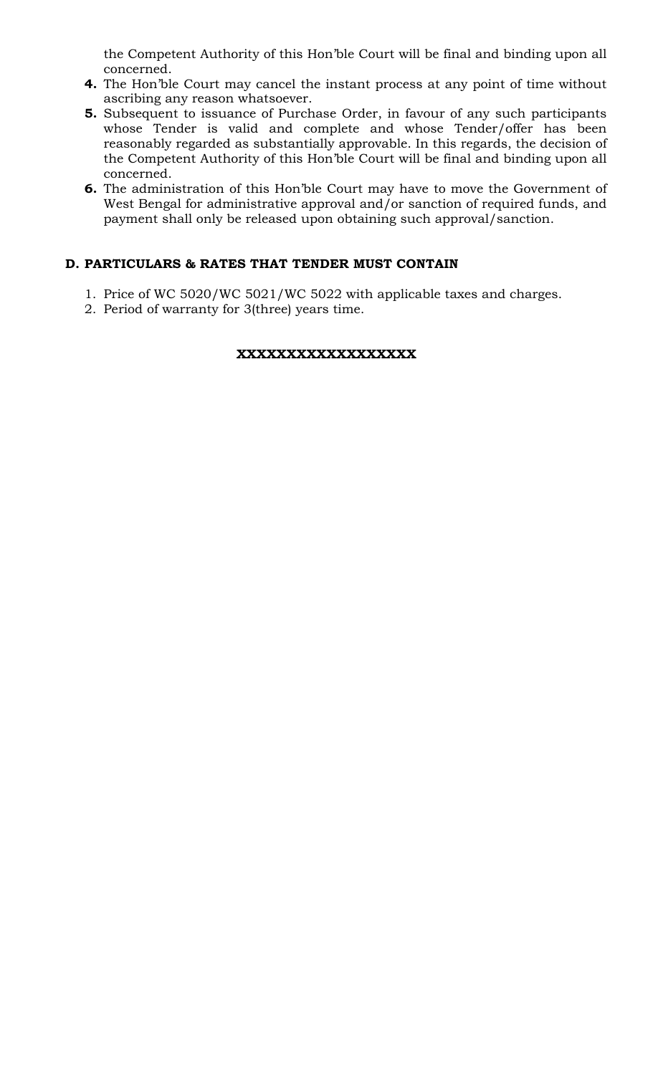the Competent Authority of this Hon'ble Court will be final and binding upon all concerned.

- **4.** The Hon'ble Court may cancel the instant process at any point of time without ascribing any reason whatsoever.
- **5.** Subsequent to issuance of Purchase Order, in favour of any such participants whose Tender is valid and complete and whose Tender/offer has been reasonably regarded as substantially approvable. In this regards, the decision of the Competent Authority of this Hon'ble Court will be final and binding upon all concerned.
- **6.** The administration of this Hon'ble Court may have to move the Government of West Bengal for administrative approval and/or sanction of required funds, and payment shall only be released upon obtaining such approval/sanction.

## **D. PARTICULARS & RATES THAT TENDER MUST CONTAIN**

- 1. Price of WC 5020/WC 5021/WC 5022 with applicable taxes and charges.
- 2. Period of warranty for 3(three) years time.

## **XXXXXXXXXXXXXXXXXX**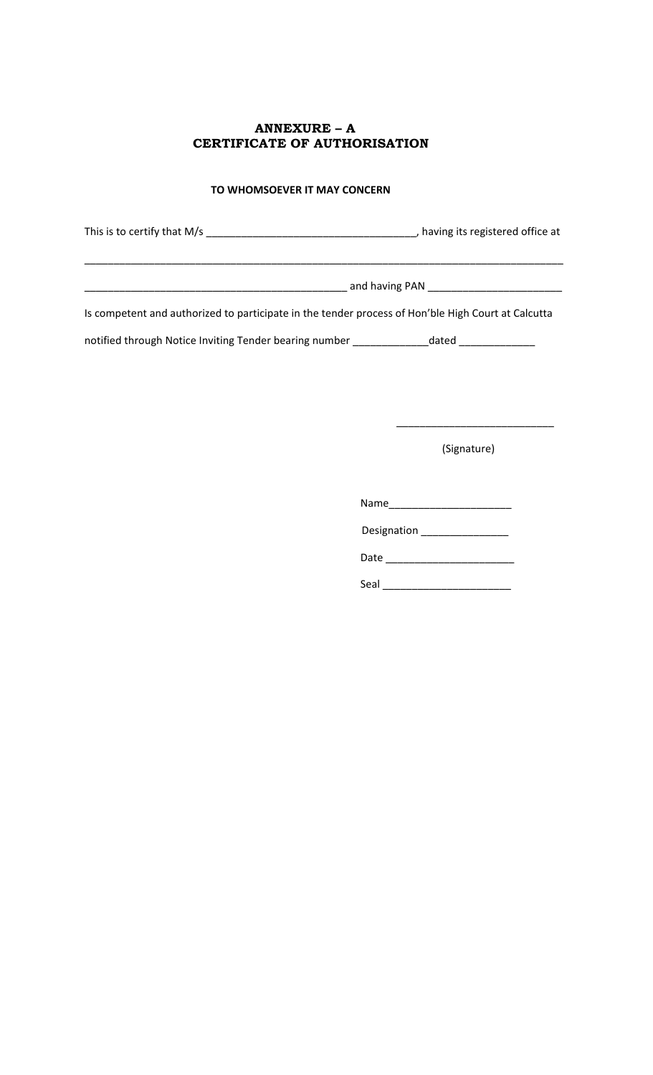## **ANNEXURE – A CERTIFICATE OF AUTHORISATION**

#### **TO WHOMSOEVER IT MAY CONCERN**

This is to certify that M/s \_\_\_\_\_\_\_\_\_\_\_\_\_\_\_\_\_\_\_\_\_\_\_\_\_\_\_\_\_\_\_\_\_\_\_\_, having its registered office at

\_\_\_\_\_\_\_\_\_\_\_\_\_\_\_\_\_\_\_\_\_\_\_\_\_\_\_\_\_\_\_\_\_\_\_\_\_\_\_\_\_\_\_\_\_\_\_\_\_\_\_\_\_\_\_\_\_\_\_\_\_\_\_\_\_\_\_\_\_\_\_\_\_\_\_\_\_\_\_\_\_\_

\_\_\_\_\_\_\_\_\_\_\_\_\_\_\_\_\_\_\_\_\_\_\_\_\_\_\_\_\_\_\_\_\_\_\_\_\_\_\_\_\_\_\_\_\_ and having PAN \_\_\_\_\_\_\_\_\_\_\_\_\_\_\_\_\_\_\_\_\_\_\_

Is competent and authorized to participate in the tender process of Hon'ble High Court at Calcutta

notified through Notice Inviting Tender bearing number \_\_\_\_\_\_\_\_\_\_\_\_\_\_\_dated \_\_\_\_\_\_\_\_\_\_\_

(Signature)

\_\_\_\_\_\_\_\_\_\_\_\_\_\_\_\_\_\_\_\_\_\_\_\_\_\_\_

Name\_\_\_\_\_\_\_\_\_\_\_\_\_\_\_\_\_\_\_\_\_

Designation \_\_\_\_\_\_\_\_\_\_\_\_\_\_\_

Date \_\_\_\_\_\_\_\_\_\_\_\_\_\_\_\_\_\_\_\_\_\_

Seal \_\_\_\_\_\_\_\_\_\_\_\_\_\_\_\_\_\_\_\_\_\_